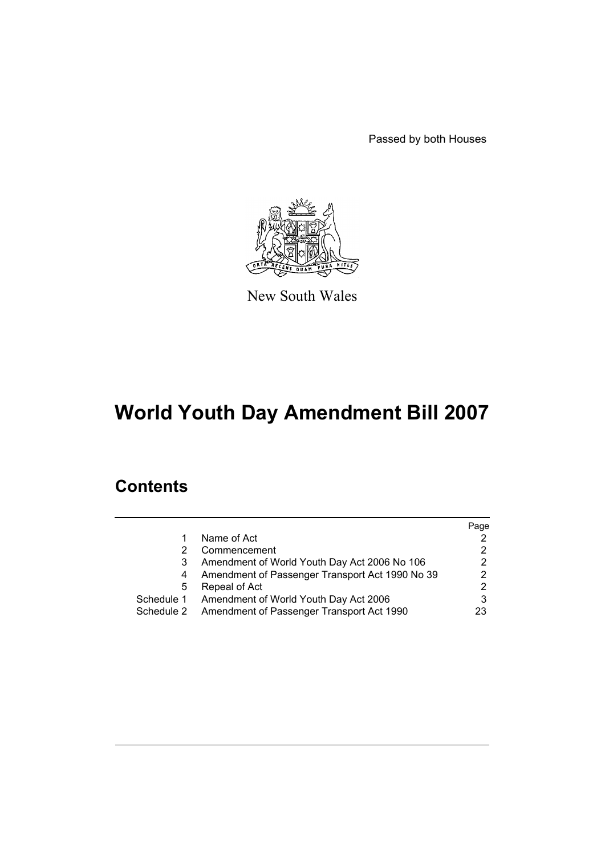Passed by both Houses



New South Wales

# **World Youth Day Amendment Bill 2007**

# **Contents**

|            |                                                 | Page           |
|------------|-------------------------------------------------|----------------|
|            | Name of Act                                     |                |
|            | Commencement                                    | 2              |
|            | Amendment of World Youth Day Act 2006 No 106    | 2              |
| 4          | Amendment of Passenger Transport Act 1990 No 39 | 2              |
| 5          | Repeal of Act                                   | $\overline{2}$ |
| Schedule 1 | Amendment of World Youth Day Act 2006           | 3              |
| Schedule 2 | Amendment of Passenger Transport Act 1990       | 23             |
|            |                                                 |                |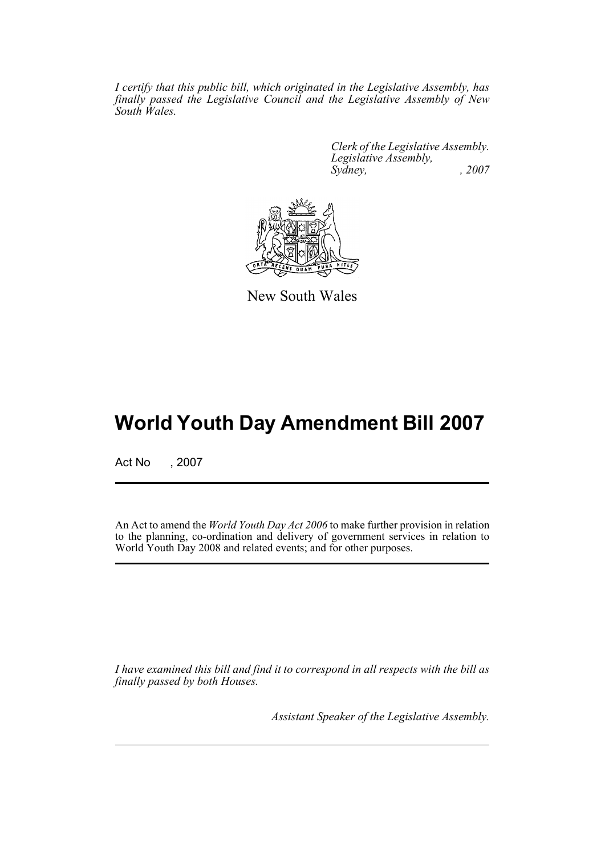*I certify that this public bill, which originated in the Legislative Assembly, has finally passed the Legislative Council and the Legislative Assembly of New South Wales.*

> *Clerk of the Legislative Assembly. Legislative Assembly, Sydney, , 2007*



New South Wales

# **World Youth Day Amendment Bill 2007**

Act No , 2007

An Act to amend the *World Youth Day Act 2006* to make further provision in relation to the planning, co-ordination and delivery of government services in relation to World Youth Day 2008 and related events; and for other purposes.

*I have examined this bill and find it to correspond in all respects with the bill as finally passed by both Houses.*

*Assistant Speaker of the Legislative Assembly.*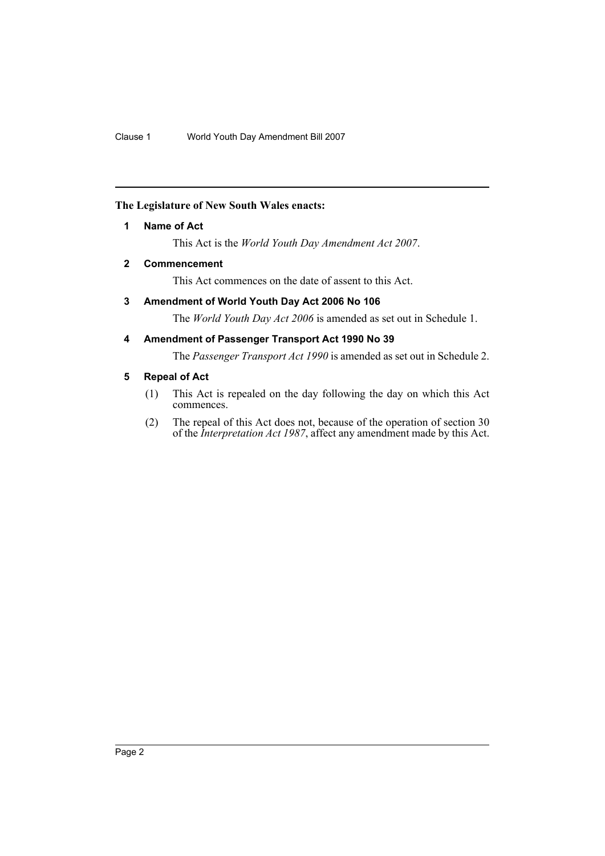#### <span id="page-2-0"></span>**The Legislature of New South Wales enacts:**

#### **1 Name of Act**

This Act is the *World Youth Day Amendment Act 2007*.

### <span id="page-2-1"></span>**2 Commencement**

This Act commences on the date of assent to this Act.

### <span id="page-2-2"></span>**3 Amendment of World Youth Day Act 2006 No 106**

The *World Youth Day Act 2006* is amended as set out in Schedule 1.

#### <span id="page-2-3"></span>**4 Amendment of Passenger Transport Act 1990 No 39**

The *Passenger Transport Act 1990* is amended as set out in Schedule 2.

### <span id="page-2-4"></span>**5 Repeal of Act**

- (1) This Act is repealed on the day following the day on which this Act commences.
- (2) The repeal of this Act does not, because of the operation of section 30 of the *Interpretation Act 1987*, affect any amendment made by this Act.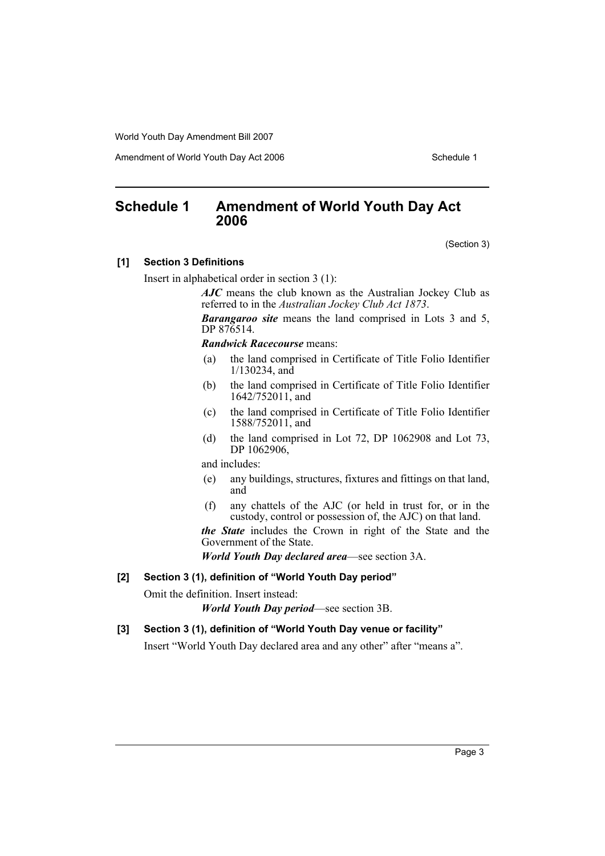Amendment of World Youth Day Act 2006 Schedule 1

# <span id="page-3-0"></span>**Schedule 1 Amendment of World Youth Day Act 2006**

(Section 3)

#### **[1] Section 3 Definitions**

Insert in alphabetical order in section 3 (1):

*AJC* means the club known as the Australian Jockey Club as referred to in the *Australian Jockey Club Act 1873*.

*Barangaroo site* means the land comprised in Lots 3 and 5, DP 876514.

*Randwick Racecourse* means:

- (a) the land comprised in Certificate of Title Folio Identifier 1/130234, and
- (b) the land comprised in Certificate of Title Folio Identifier 1642/752011, and
- (c) the land comprised in Certificate of Title Folio Identifier 1588/752011, and
- (d) the land comprised in Lot 72, DP 1062908 and Lot 73, DP 1062906,

and includes:

- (e) any buildings, structures, fixtures and fittings on that land, and
- (f) any chattels of the AJC (or held in trust for, or in the custody, control or possession of, the AJC) on that land.

*the State* includes the Crown in right of the State and the Government of the State.

*World Youth Day declared area*—see section 3A.

#### **[2] Section 3 (1), definition of "World Youth Day period"**

Omit the definition. Insert instead:

*World Youth Day period*—see section 3B.

#### **[3] Section 3 (1), definition of "World Youth Day venue or facility"**

Insert "World Youth Day declared area and any other" after "means a".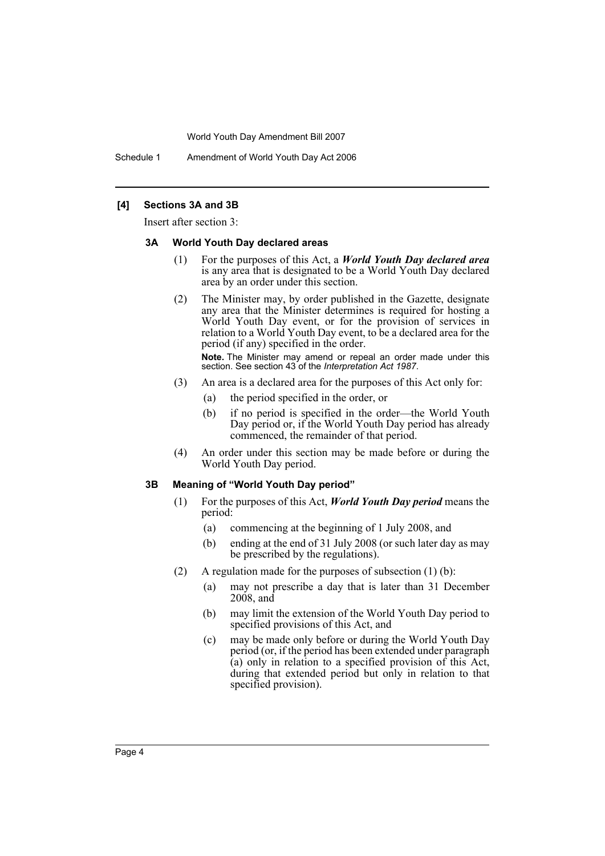Schedule 1 Amendment of World Youth Day Act 2006

#### **[4] Sections 3A and 3B**

Insert after section 3:

#### **3A World Youth Day declared areas**

- (1) For the purposes of this Act, a *World Youth Day declared area* is any area that is designated to be a World Youth Day declared area by an order under this section.
- (2) The Minister may, by order published in the Gazette, designate any area that the Minister determines is required for hosting a World Youth Day event, or for the provision of services in relation to a World Youth Day event, to be a declared area for the period (if any) specified in the order.

**Note.** The Minister may amend or repeal an order made under this section. See section 43 of the *Interpretation Act 1987*.

- (3) An area is a declared area for the purposes of this Act only for:
	- (a) the period specified in the order, or
	- (b) if no period is specified in the order—the World Youth Day period or, if the World Youth Day period has already commenced, the remainder of that period.
- (4) An order under this section may be made before or during the World Youth Day period.

#### **3B Meaning of "World Youth Day period"**

- (1) For the purposes of this Act, *World Youth Day period* means the period:
	- (a) commencing at the beginning of 1 July 2008, and
	- (b) ending at the end of 31 July 2008 (or such later day as may be prescribed by the regulations).
- (2) A regulation made for the purposes of subsection (1) (b):
	- (a) may not prescribe a day that is later than 31 December  $2008$ , and
	- (b) may limit the extension of the World Youth Day period to specified provisions of this Act, and
	- (c) may be made only before or during the World Youth Day period (or, if the period has been extended under paragraph (a) only in relation to a specified provision of this Act, during that extended period but only in relation to that specified provision).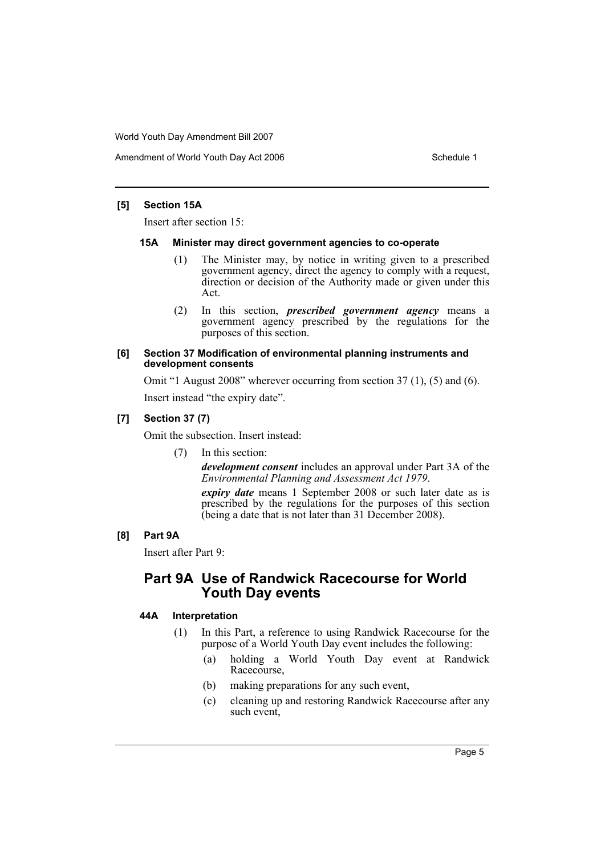Amendment of World Youth Day Act 2006 Schedule 1

#### **[5] Section 15A**

Insert after section 15:

#### **15A Minister may direct government agencies to co-operate**

- (1) The Minister may, by notice in writing given to a prescribed government agency, direct the agency to comply with a request, direction or decision of the Authority made or given under this Act.
- (2) In this section, *prescribed government agency* means a government agency prescribed by the regulations for the purposes of this section.

#### **[6] Section 37 Modification of environmental planning instruments and development consents**

Omit "1 August 2008" wherever occurring from section 37 (1), (5) and (6).

Insert instead "the expiry date".

#### **[7] Section 37 (7)**

Omit the subsection. Insert instead:

(7) In this section:

*development consent* includes an approval under Part 3A of the *Environmental Planning and Assessment Act 1979*.

*expiry date* means 1 September 2008 or such later date as is prescribed by the regulations for the purposes of this section (being a date that is not later than 31 December 2008).

#### **[8] Part 9A**

Insert after Part 9:

## **Part 9A Use of Randwick Racecourse for World Youth Day events**

#### **44A Interpretation**

- (1) In this Part, a reference to using Randwick Racecourse for the purpose of a World Youth Day event includes the following:
	- (a) holding a World Youth Day event at Randwick Racecourse,
	- (b) making preparations for any such event,
	- (c) cleaning up and restoring Randwick Racecourse after any such event,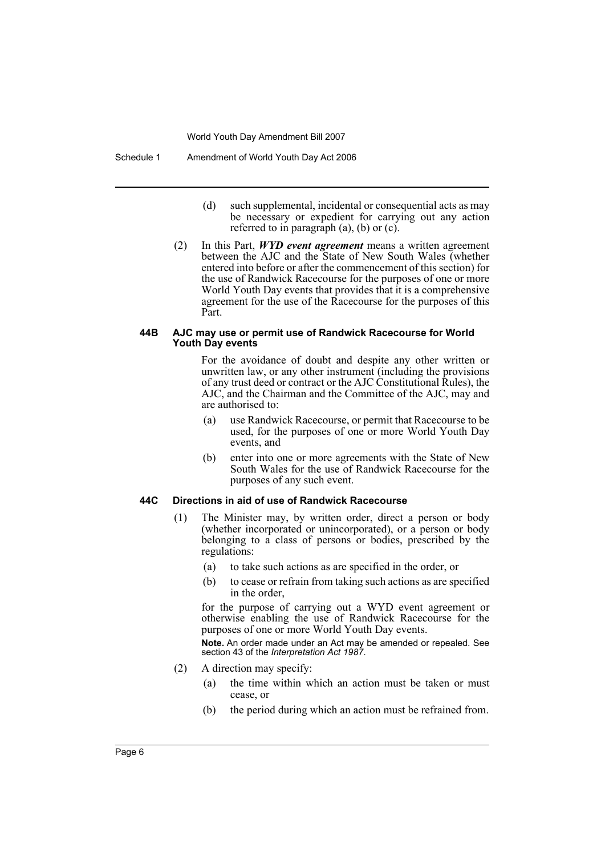Schedule 1 Amendment of World Youth Day Act 2006

- (d) such supplemental, incidental or consequential acts as may be necessary or expedient for carrying out any action referred to in paragraph (a), (b) or (c).
- (2) In this Part, *WYD event agreement* means a written agreement between the AJC and the State of New South Wales (whether entered into before or after the commencement of this section) for the use of Randwick Racecourse for the purposes of one or more World Youth Day events that provides that it is a comprehensive agreement for the use of the Racecourse for the purposes of this Part.

#### **44B AJC may use or permit use of Randwick Racecourse for World Youth Day events**

For the avoidance of doubt and despite any other written or unwritten law, or any other instrument (including the provisions of any trust deed or contract or the AJC Constitutional Rules), the AJC, and the Chairman and the Committee of the AJC, may and are authorised to:

- (a) use Randwick Racecourse, or permit that Racecourse to be used, for the purposes of one or more World Youth Day events, and
- (b) enter into one or more agreements with the State of New South Wales for the use of Randwick Racecourse for the purposes of any such event.

#### **44C Directions in aid of use of Randwick Racecourse**

- (1) The Minister may, by written order, direct a person or body (whether incorporated or unincorporated), or a person or body belonging to a class of persons or bodies, prescribed by the regulations:
	- (a) to take such actions as are specified in the order, or
	- (b) to cease or refrain from taking such actions as are specified in the order,

for the purpose of carrying out a WYD event agreement or otherwise enabling the use of Randwick Racecourse for the purposes of one or more World Youth Day events.

**Note.** An order made under an Act may be amended or repealed. See section 43 of the *Interpretation Act 1987*.

- (2) A direction may specify:
	- (a) the time within which an action must be taken or must cease, or
	- (b) the period during which an action must be refrained from.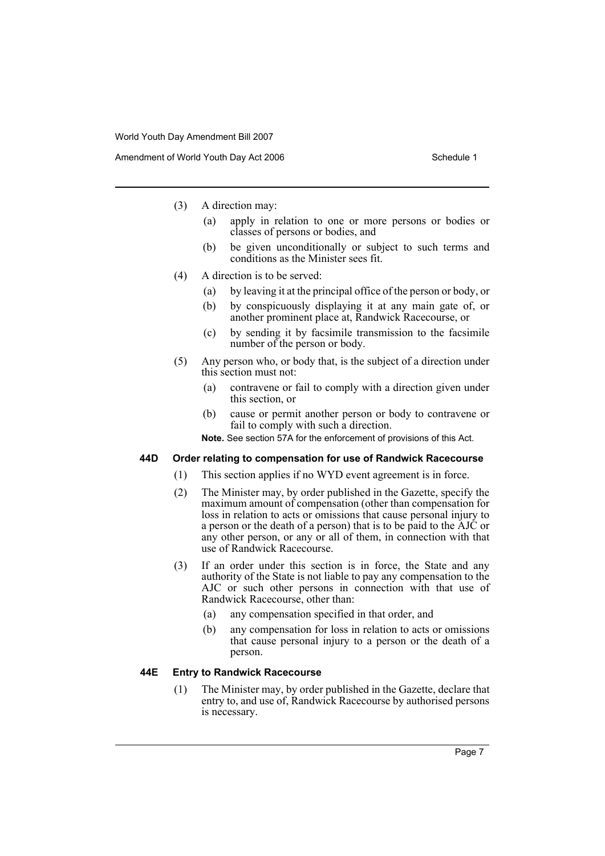- (3) A direction may:
	- (a) apply in relation to one or more persons or bodies or classes of persons or bodies, and
	- (b) be given unconditionally or subject to such terms and conditions as the Minister sees fit.
- (4) A direction is to be served:
	- (a) by leaving it at the principal office of the person or body, or
	- (b) by conspicuously displaying it at any main gate of, or another prominent place at, Randwick Racecourse, or
	- (c) by sending it by facsimile transmission to the facsimile number of the person or body.
- (5) Any person who, or body that, is the subject of a direction under this section must not:
	- (a) contravene or fail to comply with a direction given under this section, or
	- (b) cause or permit another person or body to contravene or fail to comply with such a direction.

**Note.** See section 57A for the enforcement of provisions of this Act.

#### **44D Order relating to compensation for use of Randwick Racecourse**

- (1) This section applies if no WYD event agreement is in force.
- (2) The Minister may, by order published in the Gazette, specify the maximum amount of compensation (other than compensation for loss in relation to acts or omissions that cause personal injury to a person or the death of a person) that is to be paid to the AJC or any other person, or any or all of them, in connection with that use of Randwick Racecourse.
- (3) If an order under this section is in force, the State and any authority of the State is not liable to pay any compensation to the AJC or such other persons in connection with that use of Randwick Racecourse, other than:
	- (a) any compensation specified in that order, and
	- (b) any compensation for loss in relation to acts or omissions that cause personal injury to a person or the death of a person.

#### **44E Entry to Randwick Racecourse**

(1) The Minister may, by order published in the Gazette, declare that entry to, and use of, Randwick Racecourse by authorised persons is necessary.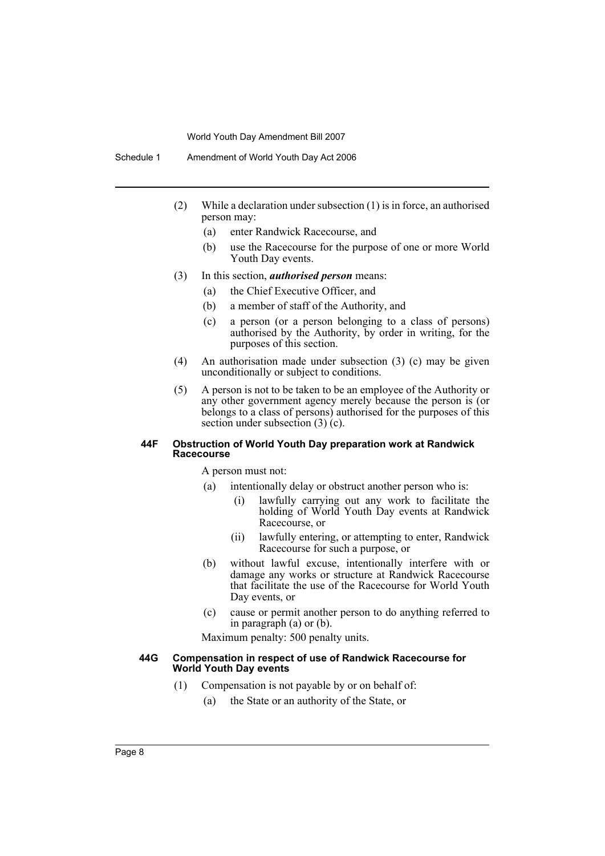Schedule 1 Amendment of World Youth Day Act 2006

- (2) While a declaration under subsection (1) is in force, an authorised person may:
	- (a) enter Randwick Racecourse, and
	- (b) use the Racecourse for the purpose of one or more World Youth Day events.
- (3) In this section, *authorised person* means:
	- (a) the Chief Executive Officer, and
	- (b) a member of staff of the Authority, and
	- (c) a person (or a person belonging to a class of persons) authorised by the Authority, by order in writing, for the purposes of this section.
- (4) An authorisation made under subsection (3) (c) may be given unconditionally or subject to conditions.
- (5) A person is not to be taken to be an employee of the Authority or any other government agency merely because the person is (or belongs to a class of persons) authorised for the purposes of this section under subsection (3) (c).

#### **44F Obstruction of World Youth Day preparation work at Randwick Racecourse**

A person must not:

- (a) intentionally delay or obstruct another person who is:
	- (i) lawfully carrying out any work to facilitate the holding of World Youth Day events at Randwick Racecourse, or
	- (ii) lawfully entering, or attempting to enter, Randwick Racecourse for such a purpose, or
- (b) without lawful excuse, intentionally interfere with or damage any works or structure at Randwick Racecourse that facilitate the use of the Racecourse for World Youth Day events, or
- (c) cause or permit another person to do anything referred to in paragraph (a) or (b).

Maximum penalty: 500 penalty units.

#### **44G Compensation in respect of use of Randwick Racecourse for World Youth Day events**

- (1) Compensation is not payable by or on behalf of:
	- (a) the State or an authority of the State, or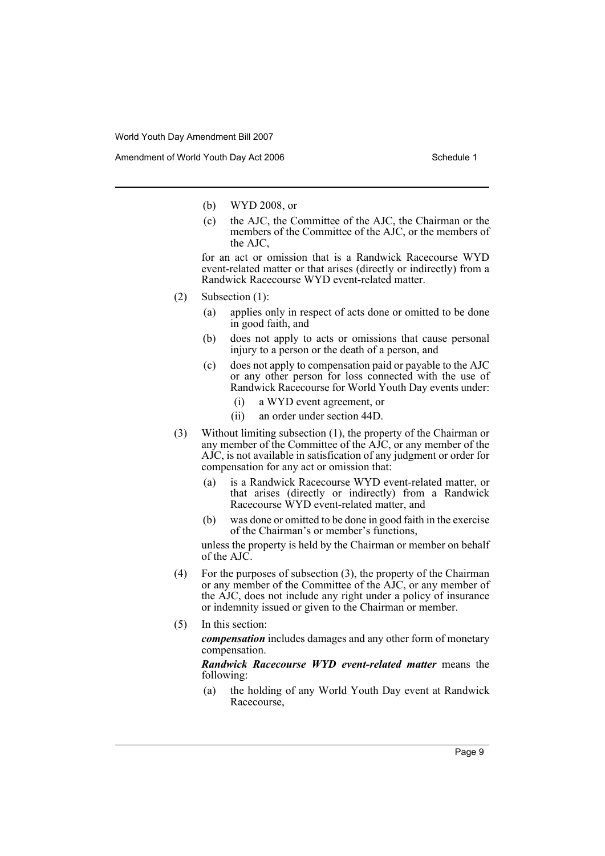Amendment of World Youth Day Act 2006 Schedule 1

- (b) WYD 2008, or
- (c) the AJC, the Committee of the AJC, the Chairman or the members of the Committee of the AJC, or the members of the AJC,

for an act or omission that is a Randwick Racecourse WYD event-related matter or that arises (directly or indirectly) from a Randwick Racecourse WYD event-related matter.

- (2) Subsection (1):
	- (a) applies only in respect of acts done or omitted to be done in good faith, and
	- (b) does not apply to acts or omissions that cause personal injury to a person or the death of a person, and
	- (c) does not apply to compensation paid or payable to the AJC or any other person for loss connected with the use of Randwick Racecourse for World Youth Day events under:
		- (i) a WYD event agreement, or
		- (ii) an order under section 44D.
- (3) Without limiting subsection (1), the property of the Chairman or any member of the Committee of the AJC, or any member of the AJC, is not available in satisfication of any judgment or order for compensation for any act or omission that:
	- (a) is a Randwick Racecourse WYD event-related matter, or that arises (directly or indirectly) from a Randwick Racecourse WYD event-related matter, and
	- (b) was done or omitted to be done in good faith in the exercise of the Chairman's or member's functions,

unless the property is held by the Chairman or member on behalf of the AJC.

- (4) For the purposes of subsection (3), the property of the Chairman or any member of the Committee of the AJC, or any member of the AJC, does not include any right under a policy of insurance or indemnity issued or given to the Chairman or member.
- (5) In this section:

*compensation* includes damages and any other form of monetary compensation.

*Randwick Racecourse WYD event-related matter* means the following:

(a) the holding of any World Youth Day event at Randwick Racecourse,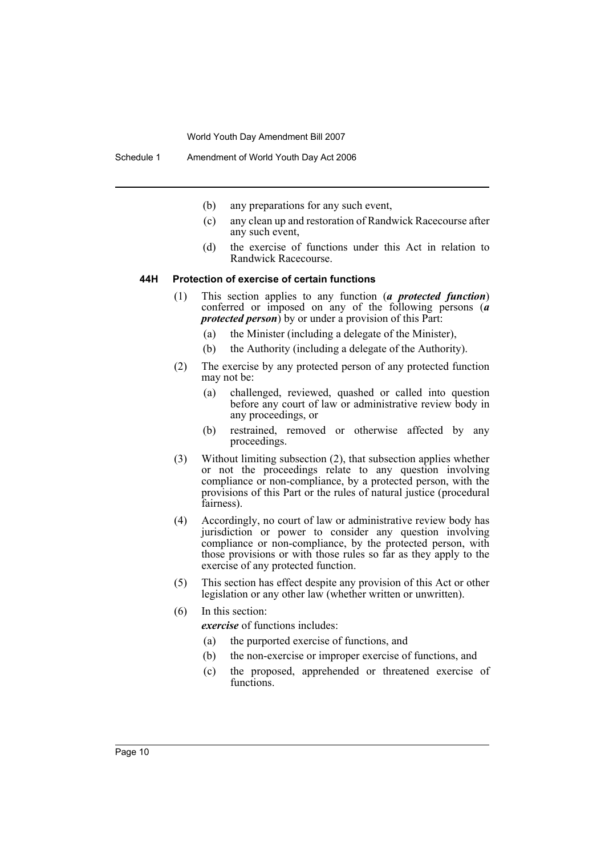- (b) any preparations for any such event,
- (c) any clean up and restoration of Randwick Racecourse after any such event,
- (d) the exercise of functions under this Act in relation to Randwick Racecourse.

#### **44H Protection of exercise of certain functions**

- (1) This section applies to any function (*a protected function*) conferred or imposed on any of the following persons (*a protected person*) by or under a provision of this Part:
	- (a) the Minister (including a delegate of the Minister),
	- (b) the Authority (including a delegate of the Authority).
- (2) The exercise by any protected person of any protected function may not be:
	- (a) challenged, reviewed, quashed or called into question before any court of law or administrative review body in any proceedings, or
	- (b) restrained, removed or otherwise affected by any proceedings.
- (3) Without limiting subsection (2), that subsection applies whether or not the proceedings relate to any question involving compliance or non-compliance, by a protected person, with the provisions of this Part or the rules of natural justice (procedural fairness).
- (4) Accordingly, no court of law or administrative review body has jurisdiction or power to consider any question involving compliance or non-compliance, by the protected person, with those provisions or with those rules so far as they apply to the exercise of any protected function.
- (5) This section has effect despite any provision of this Act or other legislation or any other law (whether written or unwritten).
- (6) In this section:

*exercise* of functions includes:

- (a) the purported exercise of functions, and
- (b) the non-exercise or improper exercise of functions, and
- (c) the proposed, apprehended or threatened exercise of functions.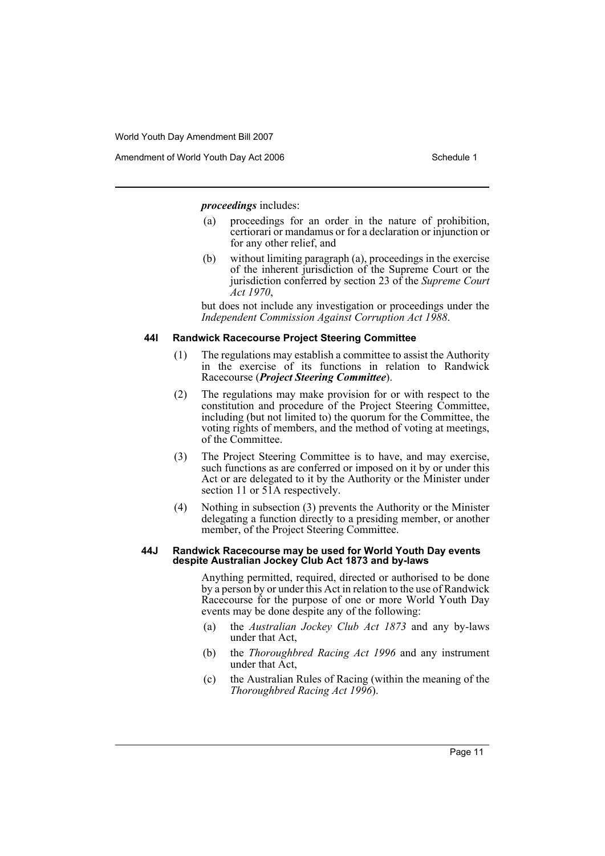*proceedings* includes:

- (a) proceedings for an order in the nature of prohibition, certiorari or mandamus or for a declaration or injunction or for any other relief, and
- (b) without limiting paragraph (a), proceedings in the exercise of the inherent jurisdiction of the Supreme Court or the jurisdiction conferred by section 23 of the *Supreme Court Act 1970*,

but does not include any investigation or proceedings under the *Independent Commission Against Corruption Act 1988*.

#### **44I Randwick Racecourse Project Steering Committee**

- (1) The regulations may establish a committee to assist the Authority in the exercise of its functions in relation to Randwick Racecourse (*Project Steering Committee*).
- (2) The regulations may make provision for or with respect to the constitution and procedure of the Project Steering Committee, including (but not limited to) the quorum for the Committee, the voting rights of members, and the method of voting at meetings, of the Committee.
- (3) The Project Steering Committee is to have, and may exercise, such functions as are conferred or imposed on it by or under this Act or are delegated to it by the Authority or the Minister under section 11 or 51A respectively.
- (4) Nothing in subsection (3) prevents the Authority or the Minister delegating a function directly to a presiding member, or another member, of the Project Steering Committee.

#### **44J Randwick Racecourse may be used for World Youth Day events despite Australian Jockey Club Act 1873 and by-laws**

Anything permitted, required, directed or authorised to be done by a person by or under this Act in relation to the use of Randwick Racecourse for the purpose of one or more World Youth Day events may be done despite any of the following:

- (a) the *Australian Jockey Club Act 1873* and any by-laws under that Act,
- (b) the *Thoroughbred Racing Act 1996* and any instrument under that Act,
- (c) the Australian Rules of Racing (within the meaning of the *Thoroughbred Racing Act 1996*).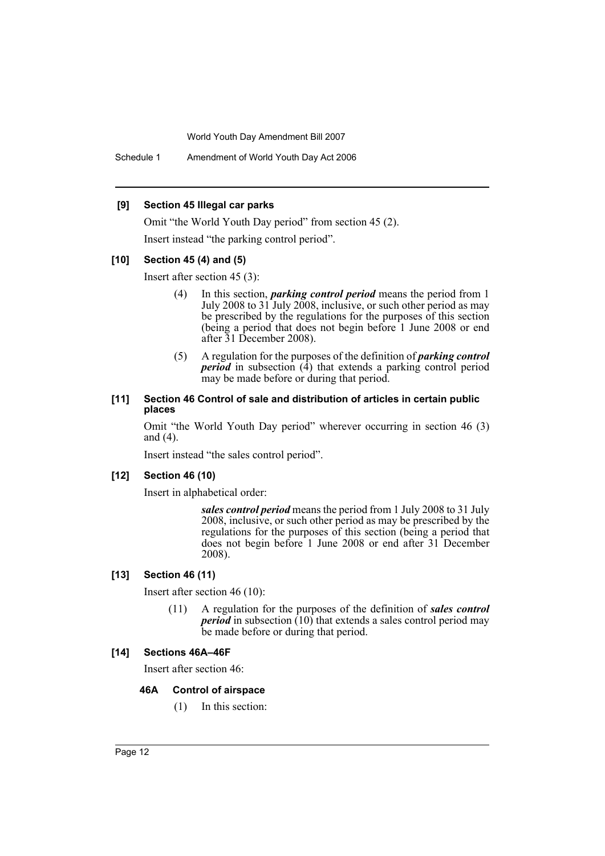Schedule 1 Amendment of World Youth Day Act 2006

#### **[9] Section 45 Illegal car parks**

Omit "the World Youth Day period" from section 45 (2). Insert instead "the parking control period".

#### **[10] Section 45 (4) and (5)**

Insert after section 45 (3):

- (4) In this section, *parking control period* means the period from 1 July 2008 to 31 July 2008, inclusive, or such other period as may be prescribed by the regulations for the purposes of this section (being a period that does not begin before 1 June 2008 or end after 31 December 2008).
- (5) A regulation for the purposes of the definition of *parking control period* in subsection (4) that extends a parking control period may be made before or during that period.

#### **[11] Section 46 Control of sale and distribution of articles in certain public places**

Omit "the World Youth Day period" wherever occurring in section 46 (3) and (4).

Insert instead "the sales control period".

#### **[12] Section 46 (10)**

Insert in alphabetical order:

*sales control period* means the period from 1 July 2008 to 31 July 2008, inclusive, or such other period as may be prescribed by the regulations for the purposes of this section (being a period that does not begin before 1 June 2008 or end after 31 December 2008).

#### **[13] Section 46 (11)**

Insert after section 46 (10):

(11) A regulation for the purposes of the definition of *sales control period* in subsection (10) that extends a sales control period may be made before or during that period.

#### **[14] Sections 46A–46F**

Insert after section 46:

#### **46A Control of airspace**

(1) In this section: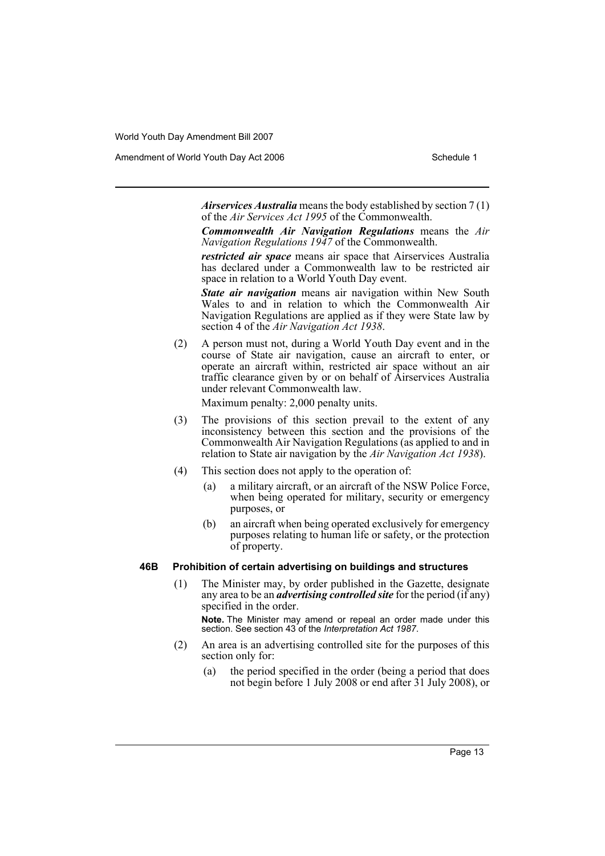Amendment of World Youth Day Act 2006 Schedule 1

*Airservices Australia* means the body established by section 7 (1) of the *Air Services Act 1995* of the Commonwealth.

*Commonwealth Air Navigation Regulations* means the *Air Navigation Regulations 1947* of the Commonwealth.

*restricted air space* means air space that Airservices Australia has declared under a Commonwealth law to be restricted air space in relation to a World Youth Day event.

*State air navigation* means air navigation within New South Wales to and in relation to which the Commonwealth Air Navigation Regulations are applied as if they were State law by section 4 of the *Air Navigation Act 1938*.

(2) A person must not, during a World Youth Day event and in the course of State air navigation, cause an aircraft to enter, or operate an aircraft within, restricted air space without an air traffic clearance given by or on behalf of Airservices Australia under relevant Commonwealth law.

Maximum penalty: 2,000 penalty units.

- (3) The provisions of this section prevail to the extent of any inconsistency between this section and the provisions of the Commonwealth Air Navigation Regulations (as applied to and in relation to State air navigation by the *Air Navigation Act 1938*).
- (4) This section does not apply to the operation of:
	- (a) a military aircraft, or an aircraft of the NSW Police Force, when being operated for military, security or emergency purposes, or
	- (b) an aircraft when being operated exclusively for emergency purposes relating to human life or safety, or the protection of property.

#### **46B Prohibition of certain advertising on buildings and structures**

(1) The Minister may, by order published in the Gazette, designate any area to be an *advertising controlled site* for the period (if any) specified in the order.

**Note.** The Minister may amend or repeal an order made under this section. See section 43 of the *Interpretation Act 1987*.

- (2) An area is an advertising controlled site for the purposes of this section only for:
	- (a) the period specified in the order (being a period that does not begin before 1 July 2008 or end after 31 July 2008), or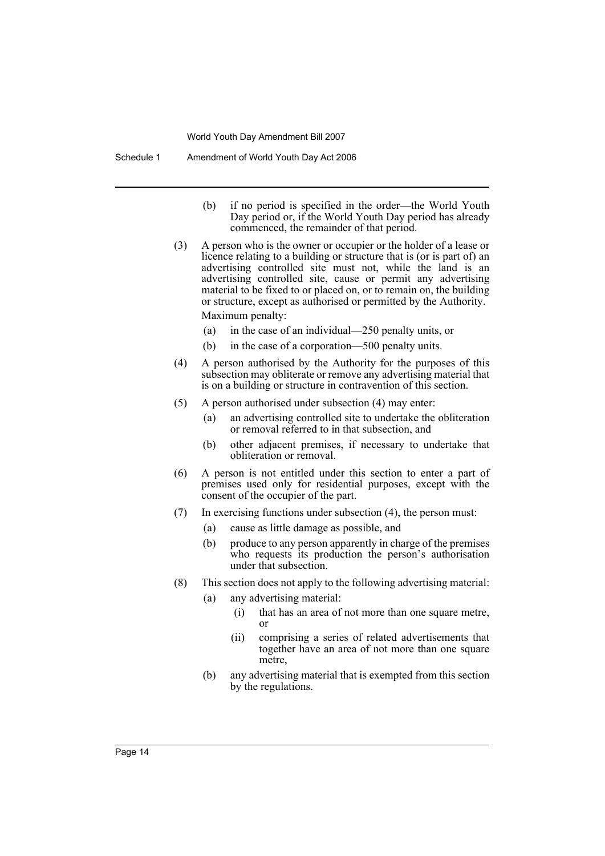- (b) if no period is specified in the order—the World Youth Day period or, if the World Youth Day period has already commenced, the remainder of that period.
- (3) A person who is the owner or occupier or the holder of a lease or licence relating to a building or structure that is (or is part of) an advertising controlled site must not, while the land is an advertising controlled site, cause or permit any advertising material to be fixed to or placed on, or to remain on, the building or structure, except as authorised or permitted by the Authority. Maximum penalty:
	- (a) in the case of an individual—250 penalty units, or
	- (b) in the case of a corporation—500 penalty units.
- (4) A person authorised by the Authority for the purposes of this subsection may obliterate or remove any advertising material that is on a building or structure in contravention of this section.
- (5) A person authorised under subsection (4) may enter:
	- (a) an advertising controlled site to undertake the obliteration or removal referred to in that subsection, and
	- (b) other adjacent premises, if necessary to undertake that obliteration or removal.
- (6) A person is not entitled under this section to enter a part of premises used only for residential purposes, except with the consent of the occupier of the part.
- (7) In exercising functions under subsection (4), the person must:
	- (a) cause as little damage as possible, and
	- (b) produce to any person apparently in charge of the premises who requests its production the person's authorisation under that subsection.
- (8) This section does not apply to the following advertising material:
	- (a) any advertising material:
		- (i) that has an area of not more than one square metre, or
		- (ii) comprising a series of related advertisements that together have an area of not more than one square metre,
	- (b) any advertising material that is exempted from this section by the regulations.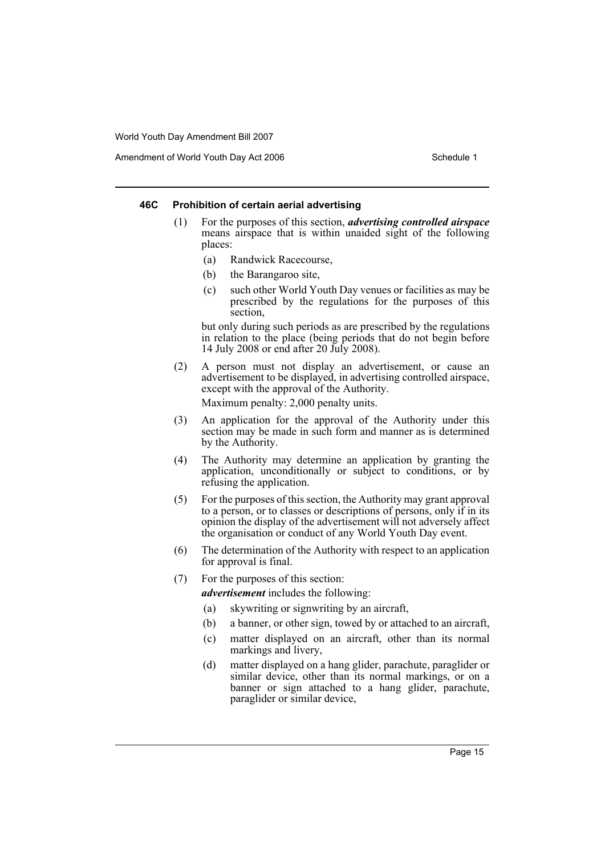Amendment of World Youth Day Act 2006 Schedule 1

#### **46C Prohibition of certain aerial advertising**

- (1) For the purposes of this section, *advertising controlled airspace* means airspace that is within unaided sight of the following places:
	- (a) Randwick Racecourse,
	- (b) the Barangaroo site,
	- (c) such other World Youth Day venues or facilities as may be prescribed by the regulations for the purposes of this section,

but only during such periods as are prescribed by the regulations in relation to the place (being periods that do not begin before 14 July 2008 or end after 20 July 2008).

- (2) A person must not display an advertisement, or cause an advertisement to be displayed, in advertising controlled airspace, except with the approval of the Authority. Maximum penalty: 2,000 penalty units.
- (3) An application for the approval of the Authority under this section may be made in such form and manner as is determined by the Authority.
- (4) The Authority may determine an application by granting the application, unconditionally or subject to conditions, or by refusing the application.
- (5) For the purposes of this section, the Authority may grant approval to a person, or to classes or descriptions of persons, only if in its opinion the display of the advertisement will not adversely affect the organisation or conduct of any World Youth Day event.
- (6) The determination of the Authority with respect to an application for approval is final.
- (7) For the purposes of this section:

*advertisement* includes the following:

- (a) skywriting or signwriting by an aircraft,
- (b) a banner, or other sign, towed by or attached to an aircraft,
- (c) matter displayed on an aircraft, other than its normal markings and livery,
- (d) matter displayed on a hang glider, parachute, paraglider or similar device, other than its normal markings, or on a banner or sign attached to a hang glider, parachute, paraglider or similar device,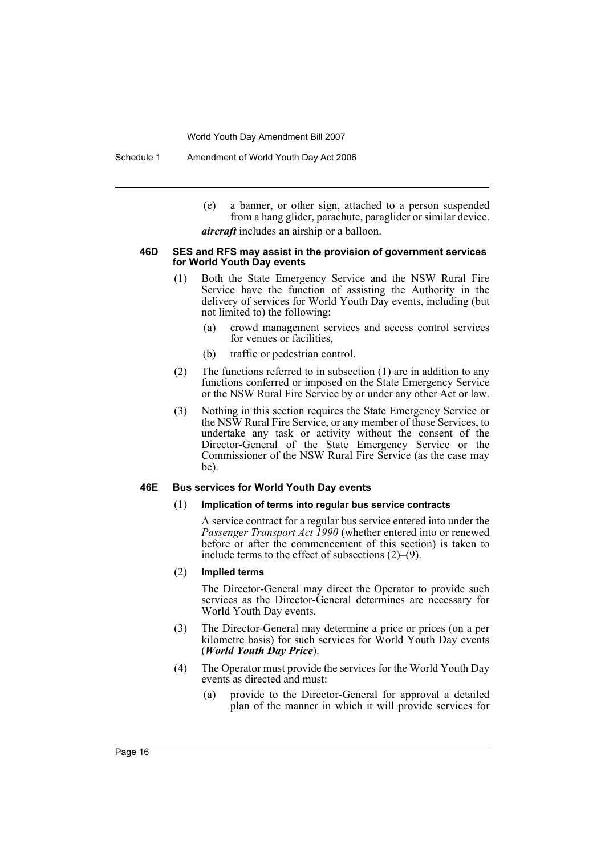Schedule 1 Amendment of World Youth Day Act 2006

(e) a banner, or other sign, attached to a person suspended from a hang glider, parachute, paraglider or similar device. *aircraft* includes an airship or a balloon.

#### **46D SES and RFS may assist in the provision of government services for World Youth Day events**

- (1) Both the State Emergency Service and the NSW Rural Fire Service have the function of assisting the Authority in the delivery of services for World Youth Day events, including (but not limited to) the following:
	- (a) crowd management services and access control services for venues or facilities,
	- (b) traffic or pedestrian control.
- (2) The functions referred to in subsection (1) are in addition to any functions conferred or imposed on the State Emergency Service or the NSW Rural Fire Service by or under any other Act or law.
- (3) Nothing in this section requires the State Emergency Service or the NSW Rural Fire Service, or any member of those Services, to undertake any task or activity without the consent of the Director-General of the State Emergency Service or the Commissioner of the NSW Rural Fire Service (as the case may be).

#### **46E Bus services for World Youth Day events**

#### (1) **Implication of terms into regular bus service contracts**

A service contract for a regular bus service entered into under the *Passenger Transport Act 1990* (whether entered into or renewed before or after the commencement of this section) is taken to include terms to the effect of subsections (2)–(9).

#### (2) **Implied terms**

The Director-General may direct the Operator to provide such services as the Director-General determines are necessary for World Youth Day events.

- (3) The Director-General may determine a price or prices (on a per kilometre basis) for such services for World Youth Day events (*World Youth Day Price*).
- (4) The Operator must provide the services for the World Youth Day events as directed and must:
	- (a) provide to the Director-General for approval a detailed plan of the manner in which it will provide services for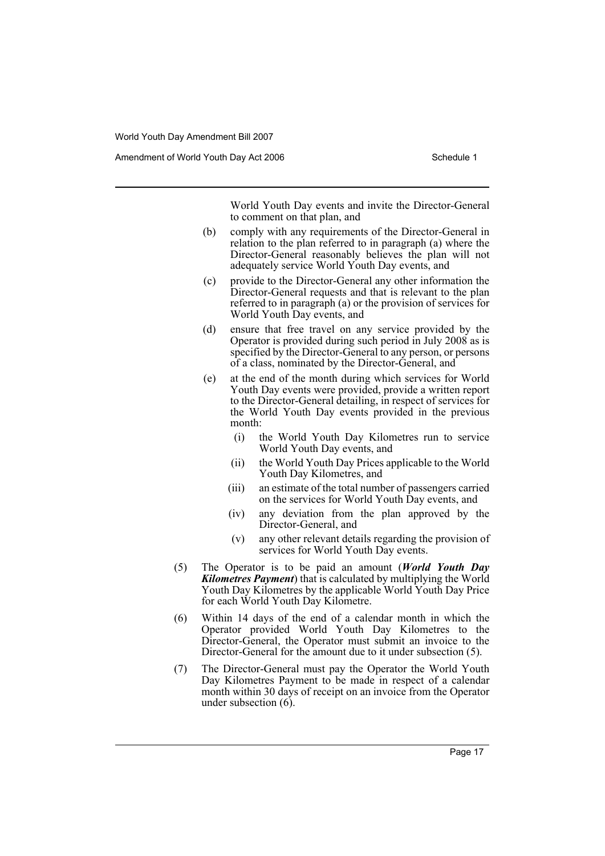World Youth Day events and invite the Director-General to comment on that plan, and

- (b) comply with any requirements of the Director-General in relation to the plan referred to in paragraph (a) where the Director-General reasonably believes the plan will not adequately service World Youth Day events, and
- (c) provide to the Director-General any other information the Director-General requests and that is relevant to the plan referred to in paragraph (a) or the provision of services for World Youth Day events, and
- (d) ensure that free travel on any service provided by the Operator is provided during such period in July 2008 as is specified by the Director-General to any person, or persons of a class, nominated by the Director-General, and
- (e) at the end of the month during which services for World Youth Day events were provided, provide a written report to the Director-General detailing, in respect of services for the World Youth Day events provided in the previous month:
	- (i) the World Youth Day Kilometres run to service World Youth Day events, and
	- (ii) the World Youth Day Prices applicable to the World Youth Day Kilometres, and
	- (iii) an estimate of the total number of passengers carried on the services for World Youth Day events, and
	- (iv) any deviation from the plan approved by the Director-General, and
	- (v) any other relevant details regarding the provision of services for World Youth Day events.
- (5) The Operator is to be paid an amount (*World Youth Day Kilometres Payment*) that is calculated by multiplying the World Youth Day Kilometres by the applicable World Youth Day Price for each World Youth Day Kilometre.
- (6) Within 14 days of the end of a calendar month in which the Operator provided World Youth Day Kilometres to the Director-General, the Operator must submit an invoice to the Director-General for the amount due to it under subsection (5).
- (7) The Director-General must pay the Operator the World Youth Day Kilometres Payment to be made in respect of a calendar month within 30 days of receipt on an invoice from the Operator under subsection (6).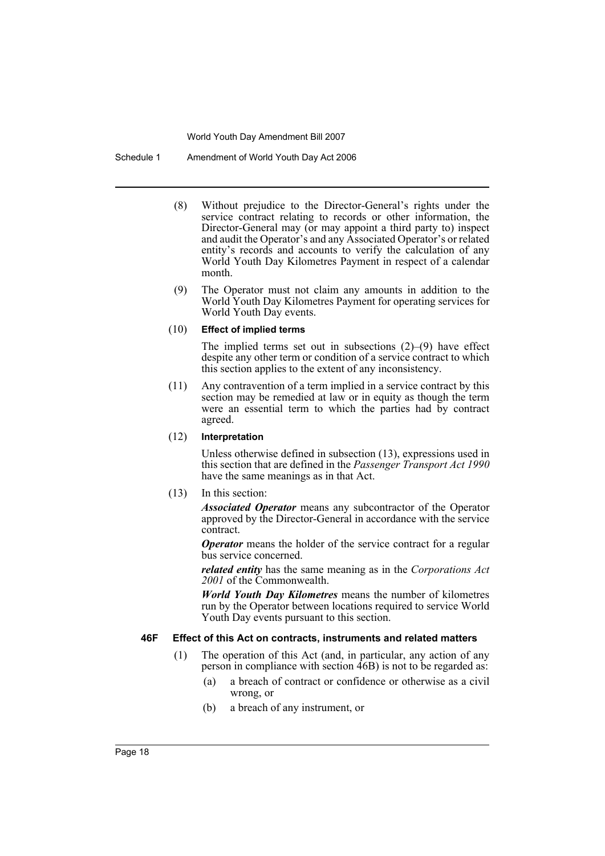Schedule 1 Amendment of World Youth Day Act 2006

- (8) Without prejudice to the Director-General's rights under the service contract relating to records or other information, the Director-General may (or may appoint a third party to) inspect and audit the Operator's and any Associated Operator's or related entity's records and accounts to verify the calculation of any World Youth Day Kilometres Payment in respect of a calendar month.
- (9) The Operator must not claim any amounts in addition to the World Youth Day Kilometres Payment for operating services for World Youth Day events.

#### (10) **Effect of implied terms**

The implied terms set out in subsections  $(2)$ – $(9)$  have effect despite any other term or condition of a service contract to which this section applies to the extent of any inconsistency.

(11) Any contravention of a term implied in a service contract by this section may be remedied at law or in equity as though the term were an essential term to which the parties had by contract agreed.

#### (12) **Interpretation**

Unless otherwise defined in subsection (13), expressions used in this section that are defined in the *Passenger Transport Act 1990* have the same meanings as in that Act.

#### (13) In this section:

*Associated Operator* means any subcontractor of the Operator approved by the Director-General in accordance with the service contract.

*Operator* means the holder of the service contract for a regular bus service concerned.

*related entity* has the same meaning as in the *Corporations Act 2001* of the Commonwealth.

*World Youth Day Kilometres* means the number of kilometres run by the Operator between locations required to service World Youth Day events pursuant to this section.

#### **46F Effect of this Act on contracts, instruments and related matters**

- (1) The operation of this Act (and, in particular, any action of any person in compliance with section  $\widehat{4}6B$ ) is not to be regarded as:
	- (a) a breach of contract or confidence or otherwise as a civil wrong, or
	- (b) a breach of any instrument, or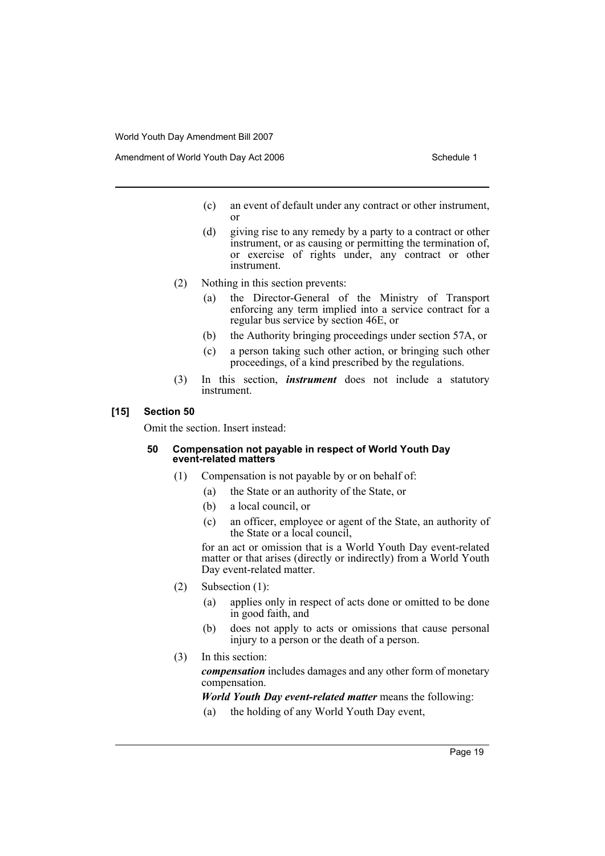- (c) an event of default under any contract or other instrument, or
- (d) giving rise to any remedy by a party to a contract or other instrument, or as causing or permitting the termination of, or exercise of rights under, any contract or other instrument.
- (2) Nothing in this section prevents:
	- (a) the Director-General of the Ministry of Transport enforcing any term implied into a service contract for a regular bus service by section 46E, or
	- (b) the Authority bringing proceedings under section 57A, or
	- (c) a person taking such other action, or bringing such other proceedings, of a kind prescribed by the regulations.
- (3) In this section, *instrument* does not include a statutory instrument.

#### **[15] Section 50**

Omit the section. Insert instead:

#### **50 Compensation not payable in respect of World Youth Day event-related matters**

- (1) Compensation is not payable by or on behalf of:
	- (a) the State or an authority of the State, or
	- (b) a local council, or
	- (c) an officer, employee or agent of the State, an authority of the State or a local council,

for an act or omission that is a World Youth Day event-related matter or that arises (directly or indirectly) from a World Youth Day event-related matter.

- (2) Subsection (1):
	- (a) applies only in respect of acts done or omitted to be done in good faith, and
	- (b) does not apply to acts or omissions that cause personal injury to a person or the death of a person.
- (3) In this section: *compensation* includes damages and any other form of monetary compensation.

*World Youth Day event-related matter* means the following:

(a) the holding of any World Youth Day event,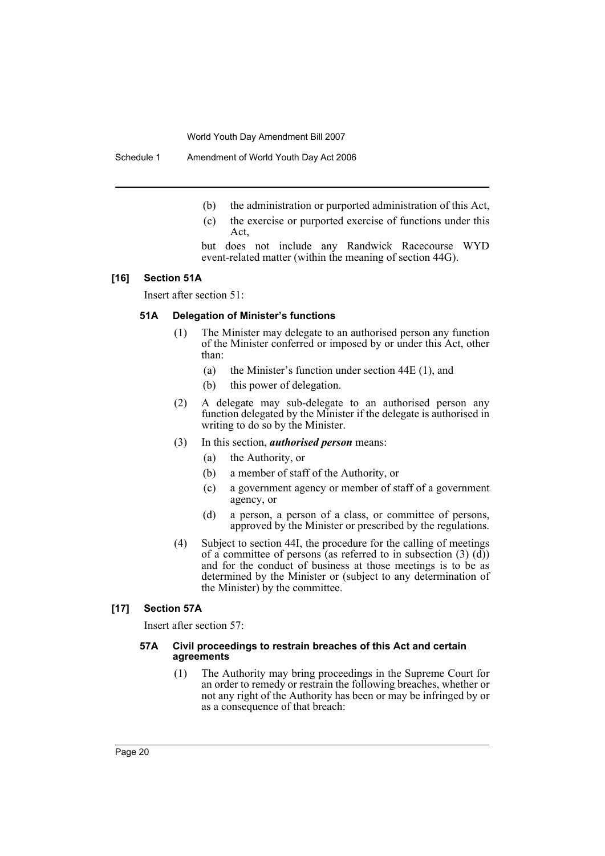Schedule 1 Amendment of World Youth Day Act 2006

- (b) the administration or purported administration of this Act,
- (c) the exercise or purported exercise of functions under this Act,
- but does not include any Randwick Racecourse WYD event-related matter (within the meaning of section 44G).

#### **[16] Section 51A**

Insert after section 51:

#### **51A Delegation of Minister's functions**

- (1) The Minister may delegate to an authorised person any function of the Minister conferred or imposed by or under this Act, other than:
	- (a) the Minister's function under section 44E (1), and
	- (b) this power of delegation.
- (2) A delegate may sub-delegate to an authorised person any function delegated by the Minister if the delegate is authorised in writing to do so by the Minister.
- (3) In this section, *authorised person* means:
	- (a) the Authority, or
	- (b) a member of staff of the Authority, or
	- (c) a government agency or member of staff of a government agency, or
	- (d) a person, a person of a class, or committee of persons, approved by the Minister or prescribed by the regulations.
- (4) Subject to section 44I, the procedure for the calling of meetings of a committee of persons (as referred to in subsection (3)  $(d)$ ) and for the conduct of business at those meetings is to be as determined by the Minister or (subject to any determination of the Minister) by the committee.

#### **[17] Section 57A**

Insert after section 57:

#### **57A Civil proceedings to restrain breaches of this Act and certain agreements**

(1) The Authority may bring proceedings in the Supreme Court for an order to remedy or restrain the following breaches, whether or not any right of the Authority has been or may be infringed by or as a consequence of that breach: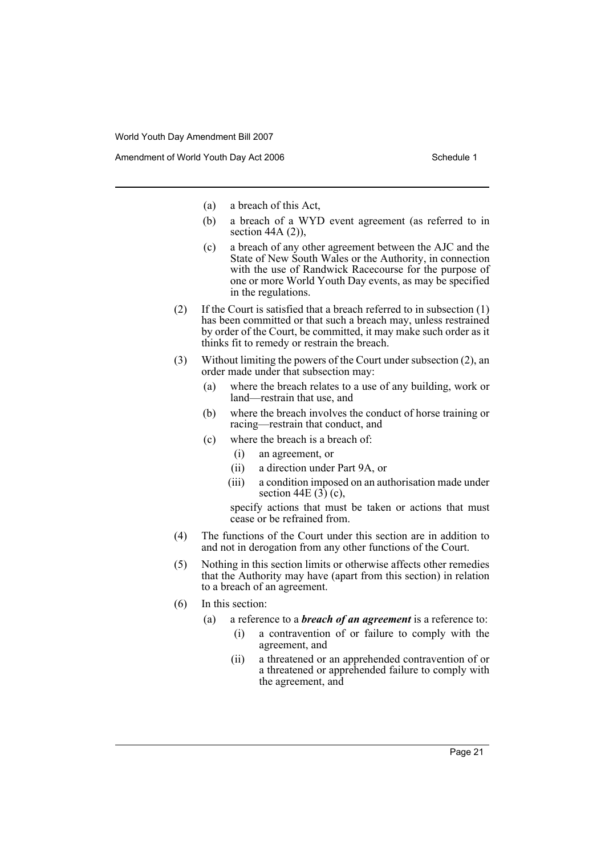- (a) a breach of this Act,
- (b) a breach of a WYD event agreement (as referred to in section  $44A(2)$ ),
- (c) a breach of any other agreement between the AJC and the State of New South Wales or the Authority, in connection with the use of Randwick Racecourse for the purpose of one or more World Youth Day events, as may be specified in the regulations.
- (2) If the Court is satisfied that a breach referred to in subsection (1) has been committed or that such a breach may, unless restrained by order of the Court, be committed, it may make such order as it thinks fit to remedy or restrain the breach.
- (3) Without limiting the powers of the Court under subsection (2), an order made under that subsection may:
	- (a) where the breach relates to a use of any building, work or land—restrain that use, and
	- (b) where the breach involves the conduct of horse training or racing—restrain that conduct, and
	- (c) where the breach is a breach of:
		- (i) an agreement, or
		- (ii) a direction under Part 9A, or
		- (iii) a condition imposed on an authorisation made under section 44E  $(3)$  (c),

specify actions that must be taken or actions that must cease or be refrained from.

- (4) The functions of the Court under this section are in addition to and not in derogation from any other functions of the Court.
- (5) Nothing in this section limits or otherwise affects other remedies that the Authority may have (apart from this section) in relation to a breach of an agreement.
- (6) In this section:
	- (a) a reference to a *breach of an agreement* is a reference to:
		- (i) a contravention of or failure to comply with the agreement, and
		- (ii) a threatened or an apprehended contravention of or a threatened or apprehended failure to comply with the agreement, and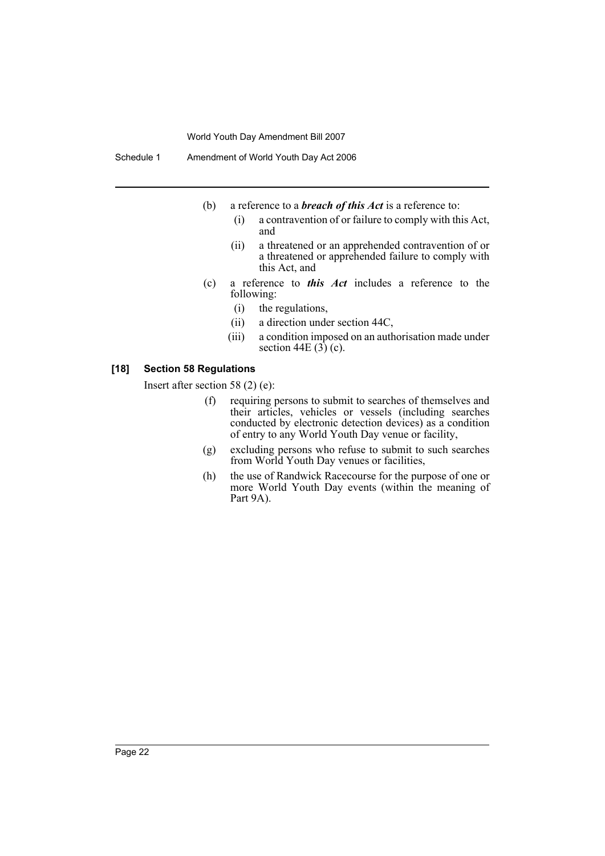Schedule 1 Amendment of World Youth Day Act 2006

- (b) a reference to a *breach of this Act* is a reference to:
	- (i) a contravention of or failure to comply with this Act, and
	- (ii) a threatened or an apprehended contravention of or a threatened or apprehended failure to comply with this Act, and
- (c) a reference to *this Act* includes a reference to the following:
	- (i) the regulations,
	- (ii) a direction under section 44C,
	- (iii) a condition imposed on an authorisation made under section 44E  $(3)$  (c).

#### **[18] Section 58 Regulations**

Insert after section 58 (2) (e):

- (f) requiring persons to submit to searches of themselves and their articles, vehicles or vessels (including searches conducted by electronic detection devices) as a condition of entry to any World Youth Day venue or facility,
- (g) excluding persons who refuse to submit to such searches from World Youth Day venues or facilities,
- (h) the use of Randwick Racecourse for the purpose of one or more World Youth Day events (within the meaning of Part 9A).